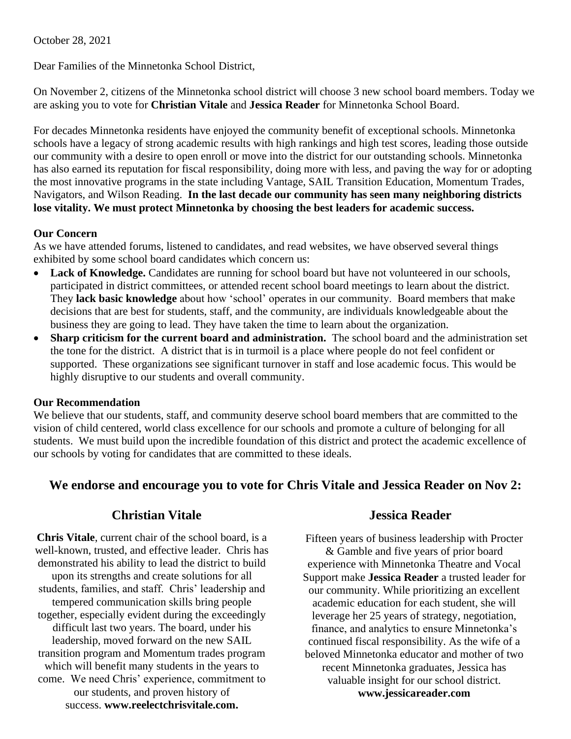October 28, 2021

Dear Families of the Minnetonka School District,

On November 2, citizens of the Minnetonka school district will choose 3 new school board members. Today we are asking you to vote for **Christian Vitale** and **Jessica Reader** for Minnetonka School Board.

For decades Minnetonka residents have enjoyed the community benefit of exceptional schools. Minnetonka schools have a legacy of strong academic results with high rankings and high test scores, leading those outside our community with a desire to open enroll or move into the district for our outstanding schools. Minnetonka has also earned its reputation for fiscal responsibility, doing more with less, and paving the way for or adopting the most innovative programs in the state including Vantage, SAIL Transition Education, Momentum Trades, Navigators, and Wilson Reading. **In the last decade our community has seen many neighboring districts lose vitality. We must protect Minnetonka by choosing the best leaders for academic success.**

### **Our Concern**

As we have attended forums, listened to candidates, and read websites, we have observed several things exhibited by some school board candidates which concern us:

- Lack of Knowledge. Candidates are running for school board but have not volunteered in our schools, participated in district committees, or attended recent school board meetings to learn about the district. They **lack basic knowledge** about how 'school' operates in our community. Board members that make decisions that are best for students, staff, and the community, are individuals knowledgeable about the business they are going to lead. They have taken the time to learn about the organization.
- **Sharp criticism for the current board and administration.** The school board and the administration set the tone for the district. A district that is in turmoil is a place where people do not feel confident or supported. These organizations see significant turnover in staff and lose academic focus. This would be highly disruptive to our students and overall community.

## **Our Recommendation**

We believe that our students, staff, and community deserve school board members that are committed to the vision of child centered, world class excellence for our schools and promote a culture of belonging for all students. We must build upon the incredible foundation of this district and protect the academic excellence of our schools by voting for candidates that are committed to these ideals.

# **We endorse and encourage you to vote for Chris Vitale and Jessica Reader on Nov 2:**

## **Christian Vitale Jessica Reader**

**Chris Vitale**, current chair of the school board, is a well-known, trusted, and effective leader. Chris has demonstrated his ability to lead the district to build upon its strengths and create solutions for all students, families, and staff. Chris' leadership and tempered communication skills bring people together, especially evident during the exceedingly difficult last two years. The board, under his leadership, moved forward on the new SAIL transition program and Momentum trades program which will benefit many students in the years to come. We need Chris' experience, commitment to our students, and proven history of success. **www.reelectchrisvitale.com.**

Fifteen years of business leadership with Procter & Gamble and five years of prior board experience with Minnetonka Theatre and Vocal Support make **Jessica Reader** a trusted leader for our community. While prioritizing an excellent academic education for each student, she will leverage her 25 years of strategy, negotiation, finance, and analytics to ensure Minnetonka's continued fiscal responsibility. As the wife of a beloved Minnetonka educator and mother of two recent Minnetonka graduates, Jessica has valuable insight for our school district. **www.jessicareader.com**